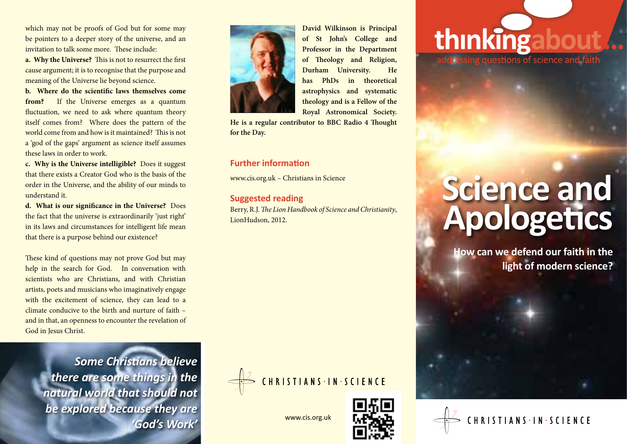which may not be proofs of God but for some may be pointers to a deeper story of the universe, and an invitation to talk some more. These include:

**a. Why the Universe?** This is not to resurrect the first cause argument; it is to recognise that the purpose and meaning of the Universe lie beyond science.

**b. Where do the scientific laws themselves come from?** If the Universe emerges as a quantum fluctuation, we need to ask where quantum theory itself comes from? Where does the pattern of the world come from and how is it maintained? This is not a 'god of the gaps' argument as science itself assumes these laws in order to work.

**c. Why is the Universe intelligible?** Does it suggest that there exists a Creator God who is the basis of the order in the Universe, and the ability of our minds to understand it.

**d. What is our significance in the Universe?** Does the fact that the universe is extraordinarily 'just right' in its laws and circumstances for intelligent life mean that there is a purpose behind our existence?

These kind of questions may not prove God but may help in the search for God. In conversation with scientists who are Christians, and with Christian artists, poets and musicians who imaginatively engage with the excitement of science, they can lead to a climate conducive to the birth and nurture of faith – and in that, an openness to encounter the revelation of God in Jesus Christ.

> *Some Christians believe there are some things in the natural world that should not be explored because they are 'God's Work'* www.cis.org.uk



**David Wilkinson is Principal of St John's College and Professor in the Department of Theology and Religion, Durham University. He has PhDs in theoretical astrophysics and systematic theology and is a Fellow of the Royal Astronomical Society.** 

**He is a regular contributor to BBC Radio 4 Thought for the Day.**

### **Further information**

www.cis.org.uk – Christians in Science

### **Suggested reading**

Berry, R.J. *The Lion Handbook of Science and Christianity*, LionHudson, 2012.

# thinkingabo

dressing questions of science and faith

# **Science and Apologetics**

**How can we defend our faith in the light of modern science?**





CHRISTIANS . IN . SCIENCE

to care for the environment